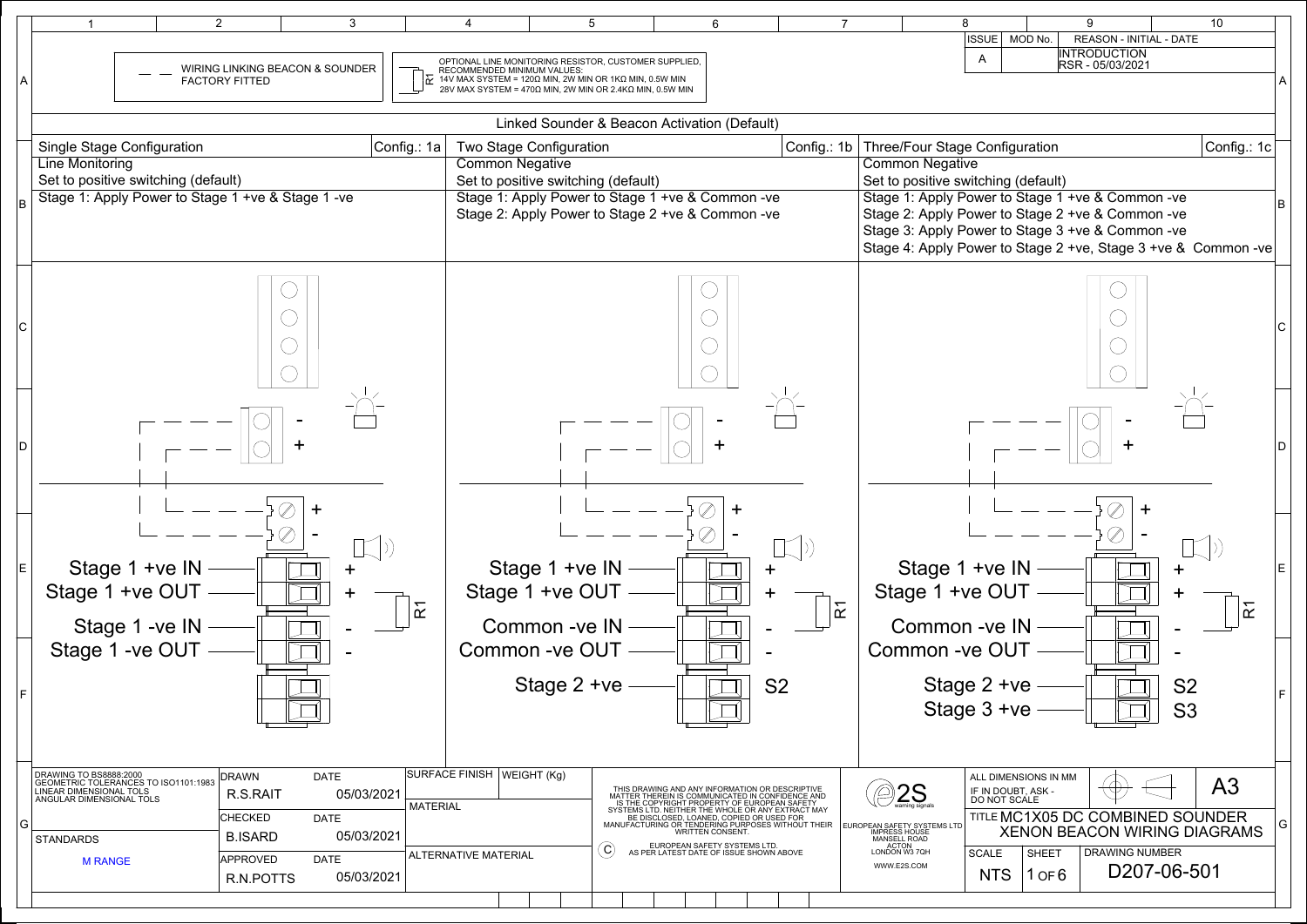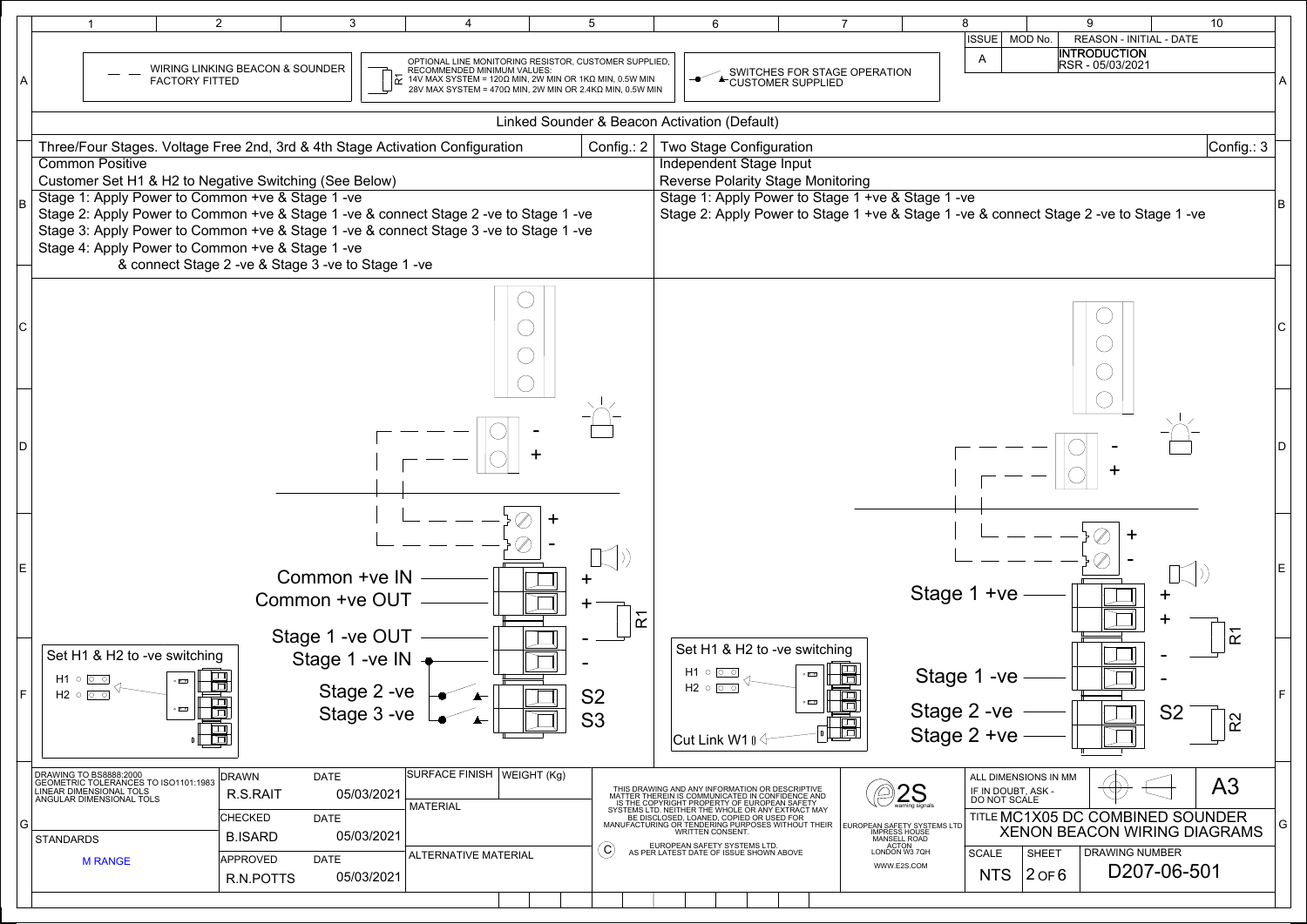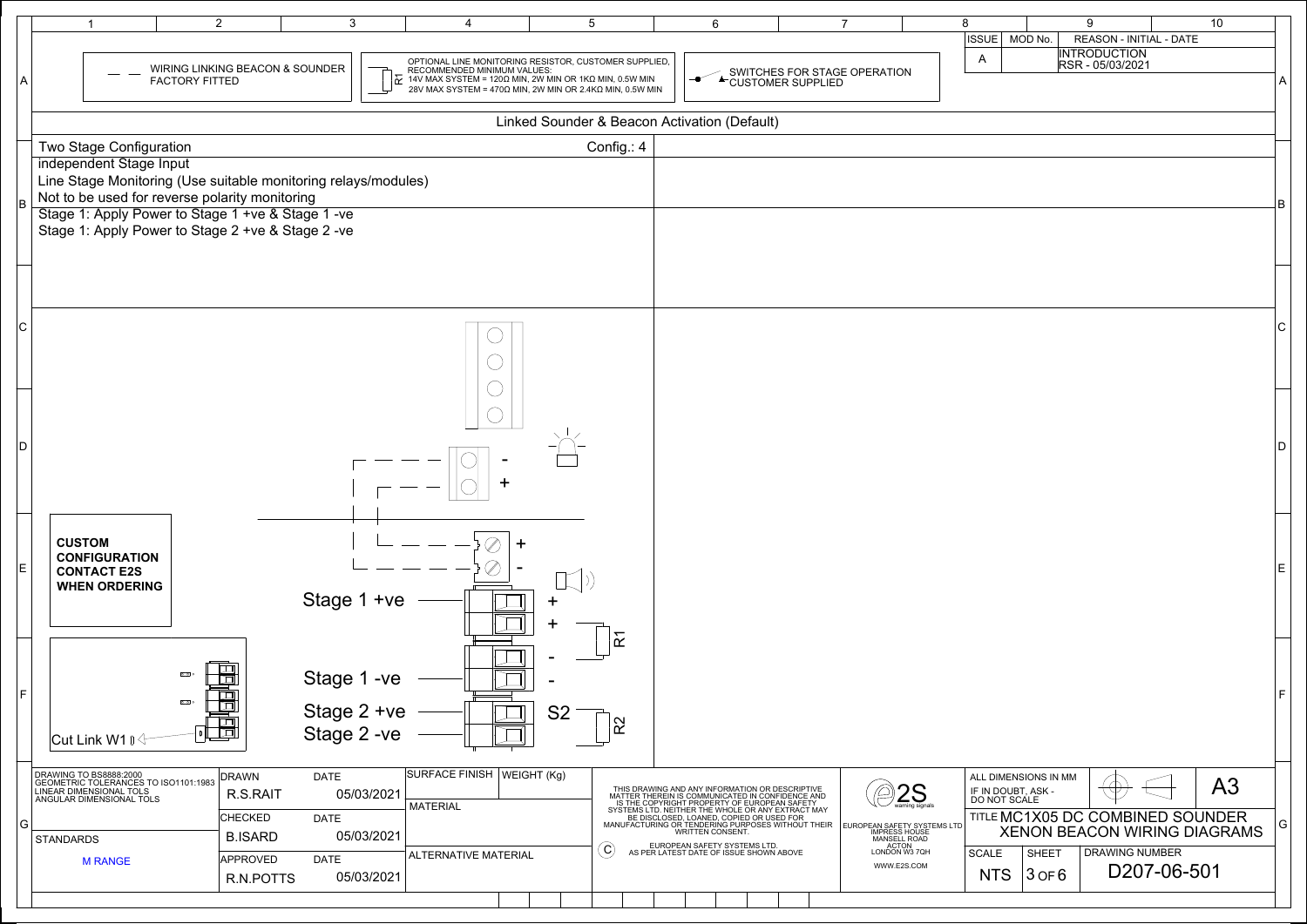| <b>ISSUE</b> | MOD No.                            | 9                   | REASON - INITIAL - DATE          | 10                                  |   |
|--------------|------------------------------------|---------------------|----------------------------------|-------------------------------------|---|
|              |                                    | <b>INTRODUCTION</b> |                                  |                                     |   |
| A            |                                    | RSR - 05/03/2021    |                                  |                                     |   |
|              |                                    |                     |                                  |                                     | A |
|              |                                    |                     |                                  |                                     |   |
|              |                                    |                     |                                  |                                     |   |
|              |                                    |                     |                                  |                                     |   |
|              |                                    |                     |                                  |                                     |   |
|              |                                    |                     |                                  |                                     |   |
|              |                                    |                     |                                  |                                     | B |
|              |                                    |                     |                                  |                                     |   |
|              |                                    |                     |                                  |                                     |   |
|              |                                    |                     |                                  |                                     |   |
|              |                                    |                     |                                  |                                     |   |
|              |                                    |                     |                                  |                                     |   |
|              |                                    |                     |                                  |                                     | C |
|              |                                    |                     |                                  |                                     |   |
|              |                                    |                     |                                  |                                     |   |
|              |                                    |                     |                                  |                                     |   |
|              |                                    |                     |                                  |                                     |   |
|              |                                    |                     |                                  |                                     |   |
|              |                                    |                     |                                  |                                     | D |
|              |                                    |                     |                                  |                                     |   |
|              |                                    |                     |                                  |                                     |   |
|              |                                    |                     |                                  |                                     |   |
|              |                                    |                     |                                  |                                     |   |
|              |                                    |                     |                                  |                                     |   |
|              |                                    |                     |                                  |                                     | E |
|              |                                    |                     |                                  |                                     |   |
|              |                                    |                     |                                  |                                     |   |
|              |                                    |                     |                                  |                                     |   |
|              |                                    |                     |                                  |                                     |   |
|              |                                    |                     |                                  |                                     |   |
|              |                                    |                     |                                  |                                     |   |
|              |                                    |                     |                                  |                                     | F |
|              |                                    |                     |                                  |                                     |   |
|              |                                    |                     |                                  |                                     |   |
|              |                                    |                     |                                  |                                     |   |
|              | ALL DIMENSIONS IN MM               |                     |                                  |                                     |   |
|              | IF IN DOUBT, ASK -<br>DO NOT SCALE |                     |                                  | A3                                  |   |
|              |                                    |                     | TITLE MC1X05 DC COMBINED SOUNDER |                                     |   |
|              |                                    |                     |                                  | <b>XENON BEACON WIRING DIAGRAMS</b> | G |
| <b>SCALE</b> | <b>SHEET</b>                       |                     | <b>DRAWING NUMBER</b>            |                                     |   |
| NTS          | $3$ OF $6$                         |                     | D207-06-501                      |                                     |   |
|              |                                    |                     |                                  |                                     |   |
|              |                                    |                     |                                  |                                     |   |

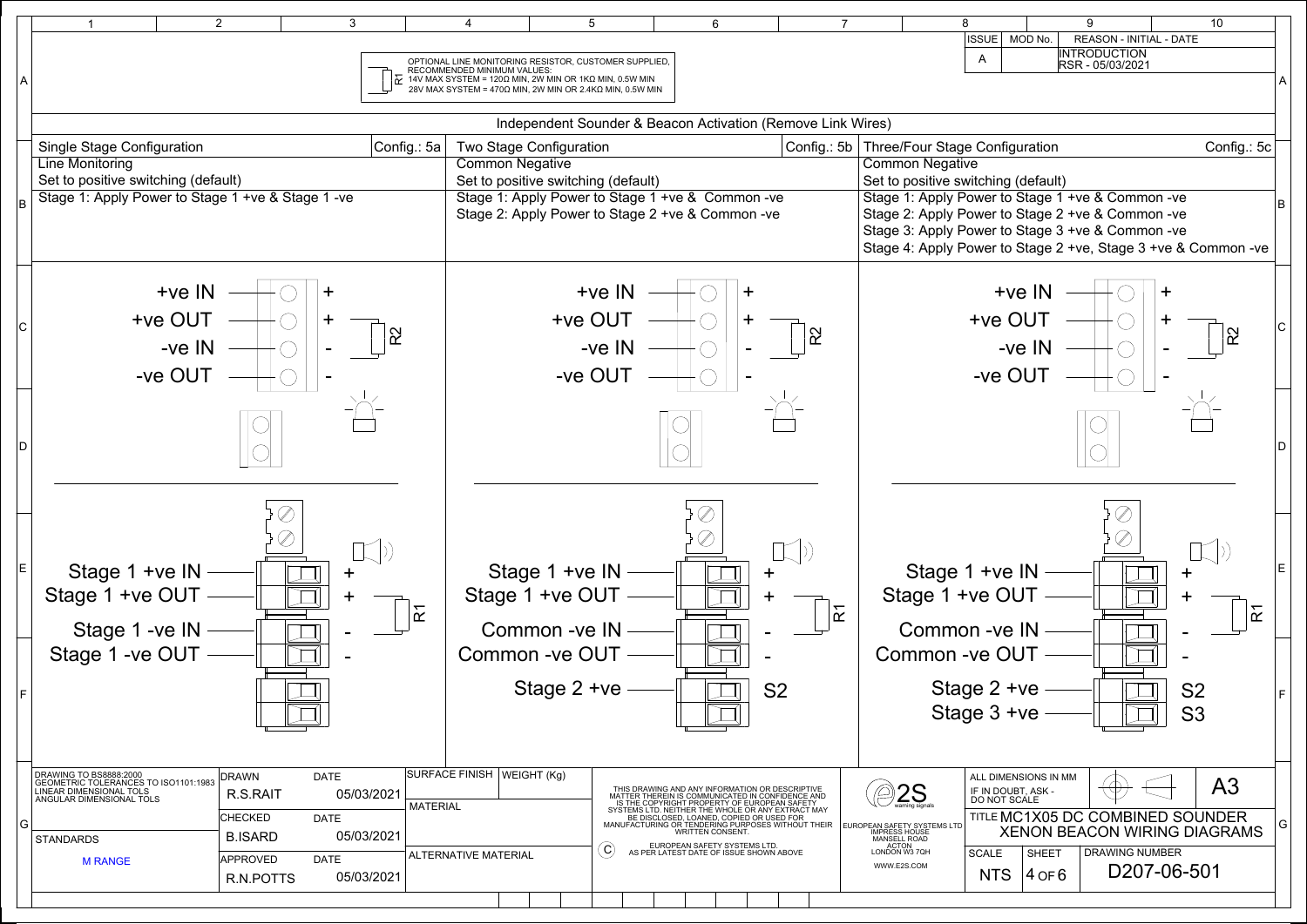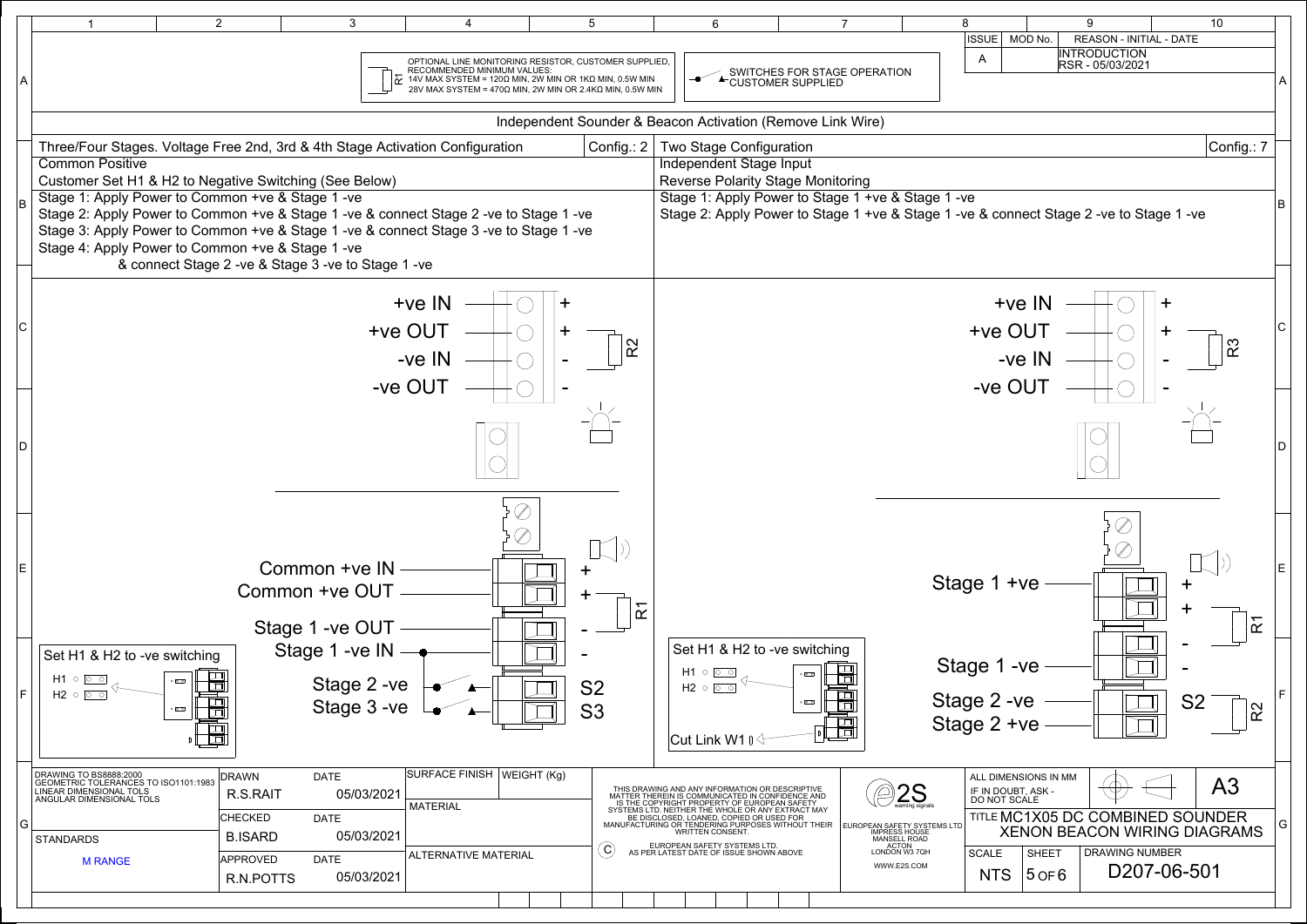